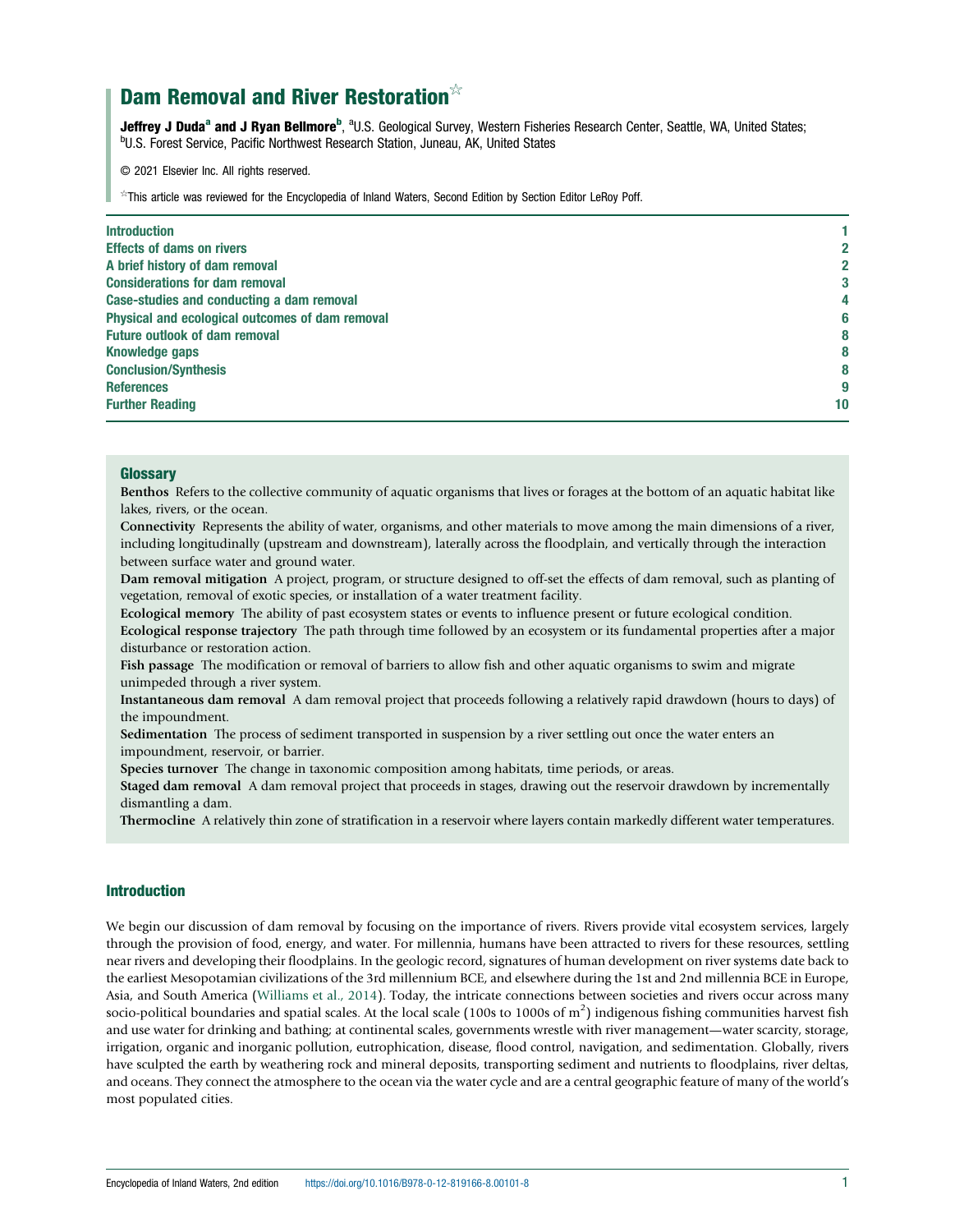# Dam Removal and River Restoration<sup>☆</sup>

Jeffrey J Duda<sup>a</sup> and J Ryan Bellmore<sup>b</sup>, <sup>a</sup>U.S. Geological Survey, Western Fisheries Research Center, Seattle, WA, United States;<br><sup>b</sup>U.S. Eorest Service, Pacific Northwest Besearch Station, Juneau, AK, United States <sup>b</sup>U.S. Forest Service, Pacific Northwest Research Station, Juneau, AK, United States

© 2021 Elsevier Inc. All rights reserved.

☆This article was reviewed for the Encyclopedia of Inland Waters, Second Edition by Section Editor LeRoy Poff.

| <b>Introduction</b>                             |    |
|-------------------------------------------------|----|
| <b>Effects of dams on rivers</b>                | 2  |
| A brief history of dam removal                  | 2  |
| <b>Considerations for dam removal</b>           | 3  |
| Case-studies and conducting a dam removal       | 4  |
| Physical and ecological outcomes of dam removal | 6  |
| <b>Future outlook of dam removal</b>            | 8  |
| <b>Knowledge gaps</b>                           | 8  |
| <b>Conclusion/Synthesis</b>                     | 8  |
| <b>References</b>                               | g  |
| <b>Further Reading</b>                          | 10 |
|                                                 |    |

# **Glossary**

Benthos Refers to the collective community of aquatic organisms that lives or forages at the bottom of an aquatic habitat like lakes, rivers, or the ocean.

Connectivity Represents the ability of water, organisms, and other materials to move among the main dimensions of a river, including longitudinally (upstream and downstream), laterally across the floodplain, and vertically through the interaction between surface water and ground water.

Dam removal mitigation A project, program, or structure designed to off-set the effects of dam removal, such as planting of vegetation, removal of exotic species, or installation of a water treatment facility.

Ecological memory The ability of past ecosystem states or events to influence present or future ecological condition.

Ecological response trajectory The path through time followed by an ecosystem or its fundamental properties after a major disturbance or restoration action.

Fish passage The modification or removal of barriers to allow fish and other aquatic organisms to swim and migrate unimpeded through a river system.

Instantaneous dam removal A dam removal project that proceeds following a relatively rapid drawdown (hours to days) of the impoundment.

Sedimentation The process of sediment transported in suspension by a river settling out once the water enters an impoundment, reservoir, or barrier.

Species turnover The change in taxonomic composition among habitats, time periods, or areas.

Staged dam removal A dam removal project that proceeds in stages, drawing out the reservoir drawdown by incrementally dismantling a dam.

Thermocline A relatively thin zone of stratification in a reservoir where layers contain markedly different water temperatures.

#### Introduction

We begin our discussion of dam removal by focusing on the importance of rivers. Rivers provide vital ecosystem services, largely through the provision of food, energy, and water. For millennia, humans have been attracted to rivers for these resources, settling near rivers and developing their floodplains. In the geologic record, signatures of human development on river systems date back to the earliest Mesopotamian civilizations of the 3rd millennium BCE, and elsewhere during the 1st and 2nd millennia BCE in Europe, Asia, and South America ([Williams et al., 2014\)](#page-9-0). Today, the intricate connections between societies and rivers occur across many socio-political boundaries and spatial scales. At the local scale (100s to 1000s of  $m^2$ ) indigenous fishing communities harvest fish and use water for drinking and bathing; at continental scales, governments wrestle with river management—water scarcity, storage, irrigation, organic and inorganic pollution, eutrophication, disease, flood control, navigation, and sedimentation. Globally, rivers have sculpted the earth by weathering rock and mineral deposits, transporting sediment and nutrients to floodplains, river deltas, and oceans. They connect the atmosphere to the ocean via the water cycle and are a central geographic feature of many of the world's most populated cities.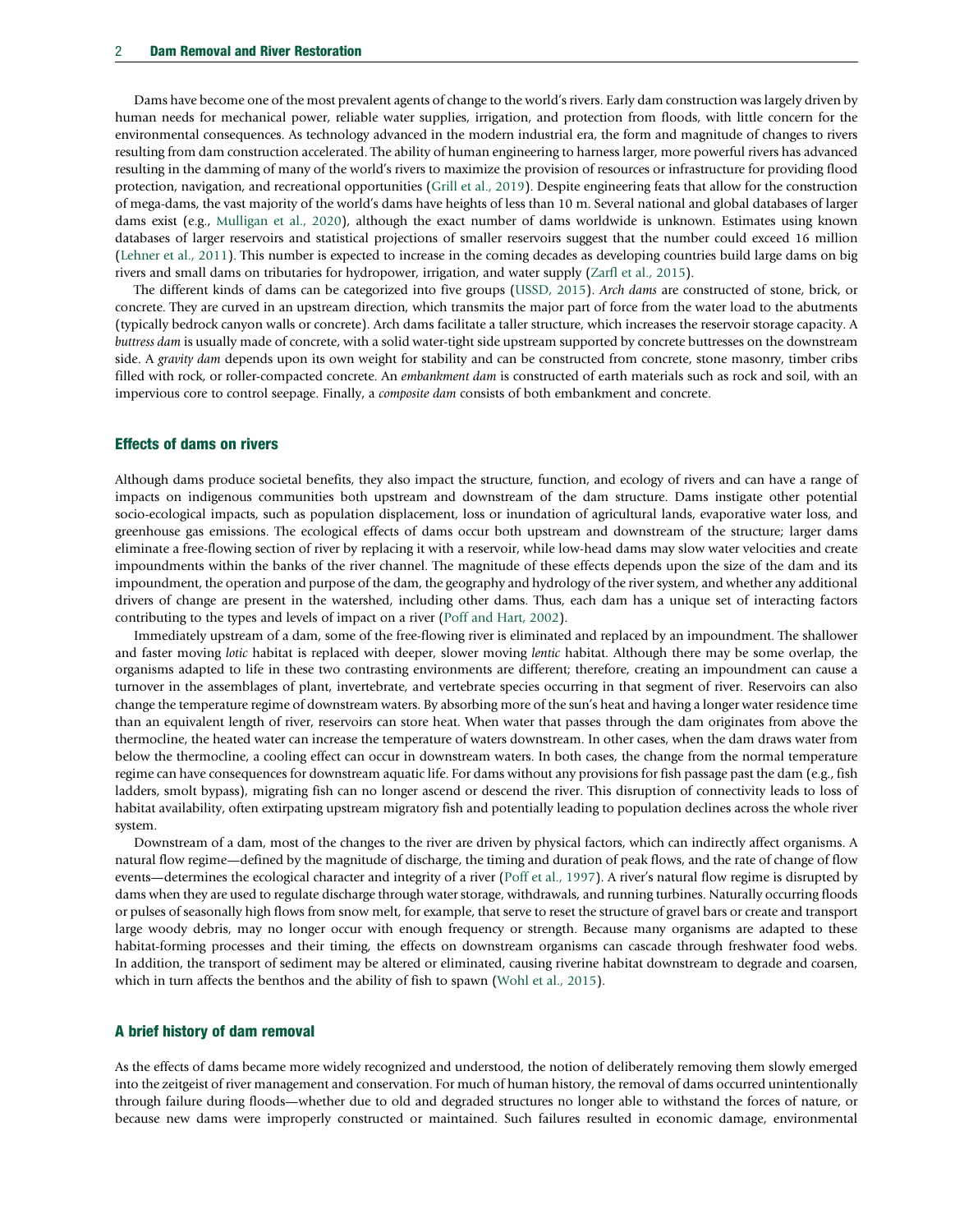Dams have become one of the most prevalent agents of change to the world's rivers. Early dam construction was largely driven by human needs for mechanical power, reliable water supplies, irrigation, and protection from floods, with little concern for the environmental consequences. As technology advanced in the modern industrial era, the form and magnitude of changes to rivers resulting from dam construction accelerated. The ability of human engineering to harness larger, more powerful rivers has advanced resulting in the damming of many of the world's rivers to maximize the provision of resources or infrastructure for providing flood protection, navigation, and recreational opportunities [\(Grill et al., 2019](#page-8-0)). Despite engineering feats that allow for the construction of mega-dams, the vast majority of the world's dams have heights of less than 10 m. Several national and global databases of larger dams exist (e.g., [Mulligan et al., 2020\)](#page-8-0), although the exact number of dams worldwide is unknown. Estimates using known databases of larger reservoirs and statistical projections of smaller reservoirs suggest that the number could exceed 16 million ([Lehner et al., 2011\)](#page-8-0). This number is expected to increase in the coming decades as developing countries build large dams on big rivers and small dams on tributaries for hydropower, irrigation, and water supply [\(Zarfl et al., 2015](#page-9-0)).

The different kinds of dams can be categorized into five groups [\(USSD, 2015](#page-9-0)). Arch dams are constructed of stone, brick, or concrete. They are curved in an upstream direction, which transmits the major part of force from the water load to the abutments (typically bedrock canyon walls or concrete). Arch dams facilitate a taller structure, which increases the reservoir storage capacity. A buttress dam is usually made of concrete, with a solid water-tight side upstream supported by concrete buttresses on the downstream side. A gravity dam depends upon its own weight for stability and can be constructed from concrete, stone masonry, timber cribs filled with rock, or roller-compacted concrete. An embankment dam is constructed of earth materials such as rock and soil, with an impervious core to control seepage. Finally, a composite dam consists of both embankment and concrete.

#### Effects of dams on rivers

Although dams produce societal benefits, they also impact the structure, function, and ecology of rivers and can have a range of impacts on indigenous communities both upstream and downstream of the dam structure. Dams instigate other potential socio-ecological impacts, such as population displacement, loss or inundation of agricultural lands, evaporative water loss, and greenhouse gas emissions. The ecological effects of dams occur both upstream and downstream of the structure; larger dams eliminate a free-flowing section of river by replacing it with a reservoir, while low-head dams may slow water velocities and create impoundments within the banks of the river channel. The magnitude of these effects depends upon the size of the dam and its impoundment, the operation and purpose of the dam, the geography and hydrology of the river system, and whether any additional drivers of change are present in the watershed, including other dams. Thus, each dam has a unique set of interacting factors contributing to the types and levels of impact on a river [\(Poff and Hart, 2002](#page-8-0)).

Immediately upstream of a dam, some of the free-flowing river is eliminated and replaced by an impoundment. The shallower and faster moving lotic habitat is replaced with deeper, slower moving lentic habitat. Although there may be some overlap, the organisms adapted to life in these two contrasting environments are different; therefore, creating an impoundment can cause a turnover in the assemblages of plant, invertebrate, and vertebrate species occurring in that segment of river. Reservoirs can also change the temperature regime of downstream waters. By absorbing more of the sun's heat and having a longer water residence time than an equivalent length of river, reservoirs can store heat. When water that passes through the dam originates from above the thermocline, the heated water can increase the temperature of waters downstream. In other cases, when the dam draws water from below the thermocline, a cooling effect can occur in downstream waters. In both cases, the change from the normal temperature regime can have consequences for downstream aquatic life. For dams without any provisions for fish passage past the dam (e.g., fish ladders, smolt bypass), migrating fish can no longer ascend or descend the river. This disruption of connectivity leads to loss of habitat availability, often extirpating upstream migratory fish and potentially leading to population declines across the whole river system.

Downstream of a dam, most of the changes to the river are driven by physical factors, which can indirectly affect organisms. A natural flow regime—defined by the magnitude of discharge, the timing and duration of peak flows, and the rate of change of flow events—determines the ecological character and integrity of a river [\(Poff et al., 1997](#page-8-0)). A river's natural flow regime is disrupted by dams when they are used to regulate discharge through water storage, withdrawals, and running turbines. Naturally occurring floods or pulses of seasonally high flows from snow melt, for example, that serve to reset the structure of gravel bars or create and transport large woody debris, may no longer occur with enough frequency or strength. Because many organisms are adapted to these habitat-forming processes and their timing, the effects on downstream organisms can cascade through freshwater food webs. In addition, the transport of sediment may be altered or eliminated, causing riverine habitat downstream to degrade and coarsen, which in turn affects the benthos and the ability of fish to spawn ([Wohl et al., 2015\)](#page-9-0).

#### A brief history of dam removal

As the effects of dams became more widely recognized and understood, the notion of deliberately removing them slowly emerged into the zeitgeist of river management and conservation. For much of human history, the removal of dams occurred unintentionally through failure during floods—whether due to old and degraded structures no longer able to withstand the forces of nature, or because new dams were improperly constructed or maintained. Such failures resulted in economic damage, environmental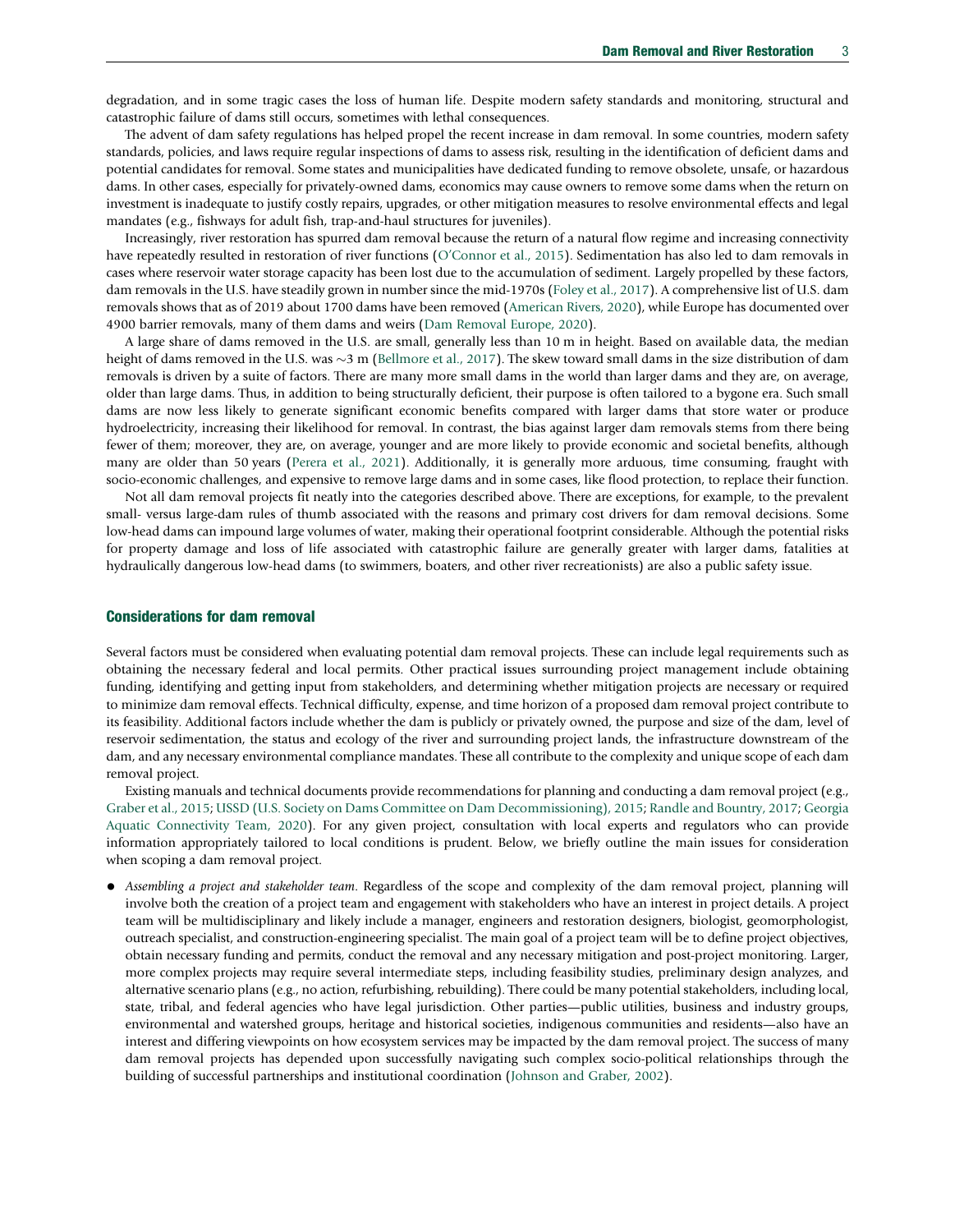degradation, and in some tragic cases the loss of human life. Despite modern safety standards and monitoring, structural and catastrophic failure of dams still occurs, sometimes with lethal consequences.

The advent of dam safety regulations has helped propel the recent increase in dam removal. In some countries, modern safety standards, policies, and laws require regular inspections of dams to assess risk, resulting in the identification of deficient dams and potential candidates for removal. Some states and municipalities have dedicated funding to remove obsolete, unsafe, or hazardous dams. In other cases, especially for privately-owned dams, economics may cause owners to remove some dams when the return on investment is inadequate to justify costly repairs, upgrades, or other mitigation measures to resolve environmental effects and legal mandates (e.g., fishways for adult fish, trap-and-haul structures for juveniles).

Increasingly, river restoration has spurred dam removal because the return of a natural flow regime and increasing connectivity have repeatedly resulted in restoration of river functions (O'[Connor et al., 2015](#page-8-0)). Sedimentation has also led to dam removals in cases where reservoir water storage capacity has been lost due to the accumulation of sediment. Largely propelled by these factors, dam removals in the U.S. have steadily grown in number since the mid-1970s [\(Foley et al., 2017](#page-8-0)). A comprehensive list of U.S. dam removals shows that as of 2019 about 1700 dams have been removed [\(American Rivers, 2020](#page-8-0)), while Europe has documented over 4900 barrier removals, many of them dams and weirs [\(Dam Removal Europe, 2020](#page-8-0)).

A large share of dams removed in the U.S. are small, generally less than 10 m in height. Based on available data, the median height of dams removed in the U.S. was  $\sim$ 3 m ([Bellmore et al., 2017](#page-8-0)). The skew toward small dams in the size distribution of dam removals is driven by a suite of factors. There are many more small dams in the world than larger dams and they are, on average, older than large dams. Thus, in addition to being structurally deficient, their purpose is often tailored to a bygone era. Such small dams are now less likely to generate significant economic benefits compared with larger dams that store water or produce hydroelectricity, increasing their likelihood for removal. In contrast, the bias against larger dam removals stems from there being fewer of them; moreover, they are, on average, younger and are more likely to provide economic and societal benefits, although many are older than 50 years [\(Perera et al., 2021](#page-8-0)). Additionally, it is generally more arduous, time consuming, fraught with socio-economic challenges, and expensive to remove large dams and in some cases, like flood protection, to replace their function.

Not all dam removal projects fit neatly into the categories described above. There are exceptions, for example, to the prevalent small- versus large-dam rules of thumb associated with the reasons and primary cost drivers for dam removal decisions. Some low-head dams can impound large volumes of water, making their operational footprint considerable. Although the potential risks for property damage and loss of life associated with catastrophic failure are generally greater with larger dams, fatalities at hydraulically dangerous low-head dams (to swimmers, boaters, and other river recreationists) are also a public safety issue.

# Considerations for dam removal

Several factors must be considered when evaluating potential dam removal projects. These can include legal requirements such as obtaining the necessary federal and local permits. Other practical issues surrounding project management include obtaining funding, identifying and getting input from stakeholders, and determining whether mitigation projects are necessary or required to minimize dam removal effects. Technical difficulty, expense, and time horizon of a proposed dam removal project contribute to its feasibility. Additional factors include whether the dam is publicly or privately owned, the purpose and size of the dam, level of reservoir sedimentation, the status and ecology of the river and surrounding project lands, the infrastructure downstream of the dam, and any necessary environmental compliance mandates. These all contribute to the complexity and unique scope of each dam removal project.

Existing manuals and technical documents provide recommendations for planning and conducting a dam removal project (e.g., [Graber et al., 2015](#page-8-0); [USSD \(U.S. Society on Dams Committee on Dam Decommissioning\), 2015;](#page-9-0) [Randle and Bountry, 2017;](#page-8-0) [Georgia](#page-8-0) [Aquatic Connectivity Team, 2020](#page-8-0)). For any given project, consultation with local experts and regulators who can provide information appropriately tailored to local conditions is prudent. Below, we briefly outline the main issues for consideration when scoping a dam removal project.

• Assembling a project and stakeholder team. Regardless of the scope and complexity of the dam removal project, planning will involve both the creation of a project team and engagement with stakeholders who have an interest in project details. A project team will be multidisciplinary and likely include a manager, engineers and restoration designers, biologist, geomorphologist, outreach specialist, and construction-engineering specialist. The main goal of a project team will be to define project objectives, obtain necessary funding and permits, conduct the removal and any necessary mitigation and post-project monitoring. Larger, more complex projects may require several intermediate steps, including feasibility studies, preliminary design analyzes, and alternative scenario plans (e.g., no action, refurbishing, rebuilding). There could be many potential stakeholders, including local, state, tribal, and federal agencies who have legal jurisdiction. Other parties—public utilities, business and industry groups, environmental and watershed groups, heritage and historical societies, indigenous communities and residents—also have an interest and differing viewpoints on how ecosystem services may be impacted by the dam removal project. The success of many dam removal projects has depended upon successfully navigating such complex socio-political relationships through the building of successful partnerships and institutional coordination ([Johnson and Graber, 2002\)](#page-8-0).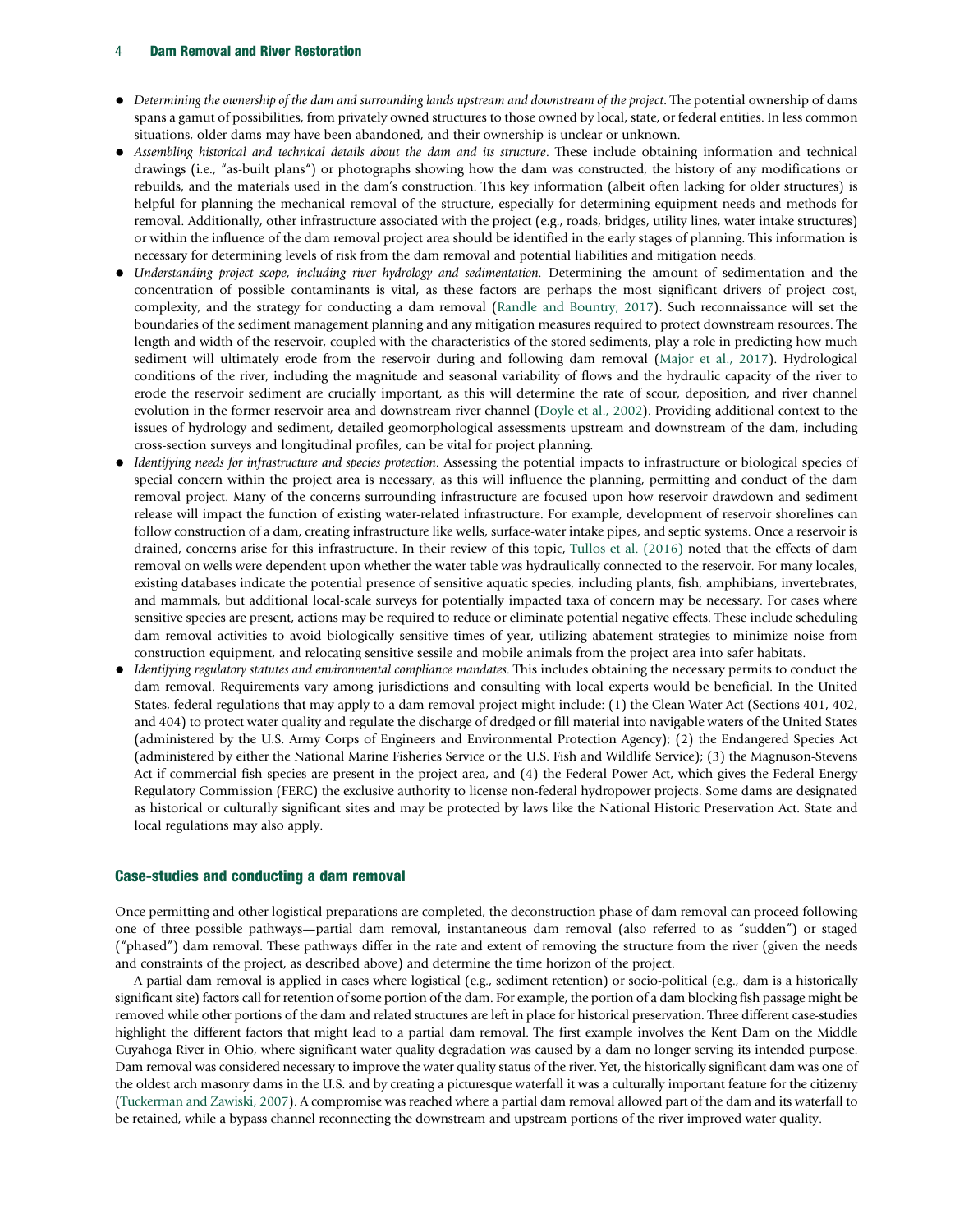- Determining the ownership of the dam and surrounding lands upstream and downstream of the project. The potential ownership of dams spans a gamut of possibilities, from privately owned structures to those owned by local, state, or federal entities. In less common situations, older dams may have been abandoned, and their ownership is unclear or unknown.
- Assembling historical and technical details about the dam and its structure. These include obtaining information and technical drawings (i.e., "as-built plans") or photographs showing how the dam was constructed, the history of any modifications or rebuilds, and the materials used in the dam's construction. This key information (albeit often lacking for older structures) is helpful for planning the mechanical removal of the structure, especially for determining equipment needs and methods for removal. Additionally, other infrastructure associated with the project (e.g., roads, bridges, utility lines, water intake structures) or within the influence of the dam removal project area should be identified in the early stages of planning. This information is necessary for determining levels of risk from the dam removal and potential liabilities and mitigation needs.
- Understanding project scope, including river hydrology and sedimentation. Determining the amount of sedimentation and the concentration of possible contaminants is vital, as these factors are perhaps the most significant drivers of project cost, complexity, and the strategy for conducting a dam removal ([Randle and Bountry, 2017](#page-8-0)). Such reconnaissance will set the boundaries of the sediment management planning and any mitigation measures required to protect downstream resources. The length and width of the reservoir, coupled with the characteristics of the stored sediments, play a role in predicting how much sediment will ultimately erode from the reservoir during and following dam removal ([Major et al., 2017](#page-8-0)). Hydrological conditions of the river, including the magnitude and seasonal variability of flows and the hydraulic capacity of the river to erode the reservoir sediment are crucially important, as this will determine the rate of scour, deposition, and river channel evolution in the former reservoir area and downstream river channel ([Doyle et al., 2002](#page-8-0)). Providing additional context to the issues of hydrology and sediment, detailed geomorphological assessments upstream and downstream of the dam, including cross-section surveys and longitudinal profiles, can be vital for project planning.
- Identifying needs for infrastructure and species protection. Assessing the potential impacts to infrastructure or biological species of special concern within the project area is necessary, as this will influence the planning, permitting and conduct of the dam removal project. Many of the concerns surrounding infrastructure are focused upon how reservoir drawdown and sediment release will impact the function of existing water-related infrastructure. For example, development of reservoir shorelines can follow construction of a dam, creating infrastructure like wells, surface-water intake pipes, and septic systems. Once a reservoir is drained, concerns arise for this infrastructure. In their review of this topic, [Tullos et al. \(2016\)](#page-9-0) noted that the effects of dam removal on wells were dependent upon whether the water table was hydraulically connected to the reservoir. For many locales, existing databases indicate the potential presence of sensitive aquatic species, including plants, fish, amphibians, invertebrates, and mammals, but additional local-scale surveys for potentially impacted taxa of concern may be necessary. For cases where sensitive species are present, actions may be required to reduce or eliminate potential negative effects. These include scheduling dam removal activities to avoid biologically sensitive times of year, utilizing abatement strategies to minimize noise from construction equipment, and relocating sensitive sessile and mobile animals from the project area into safer habitats.
- Identifying regulatory statutes and environmental compliance mandates. This includes obtaining the necessary permits to conduct the dam removal. Requirements vary among jurisdictions and consulting with local experts would be beneficial. In the United States, federal regulations that may apply to a dam removal project might include: (1) the Clean Water Act (Sections 401, 402, and 404) to protect water quality and regulate the discharge of dredged or fill material into navigable waters of the United States (administered by the U.S. Army Corps of Engineers and Environmental Protection Agency); (2) the Endangered Species Act (administered by either the National Marine Fisheries Service or the U.S. Fish and Wildlife Service); (3) the Magnuson-Stevens Act if commercial fish species are present in the project area, and (4) the Federal Power Act, which gives the Federal Energy Regulatory Commission (FERC) the exclusive authority to license non-federal hydropower projects. Some dams are designated as historical or culturally significant sites and may be protected by laws like the National Historic Preservation Act. State and local regulations may also apply.

#### Case-studies and conducting a dam removal

Once permitting and other logistical preparations are completed, the deconstruction phase of dam removal can proceed following one of three possible pathways—partial dam removal, instantaneous dam removal (also referred to as "sudden") or staged ("phased") dam removal. These pathways differ in the rate and extent of removing the structure from the river (given the needs and constraints of the project, as described above) and determine the time horizon of the project.

A partial dam removal is applied in cases where logistical (e.g., sediment retention) or socio-political (e.g., dam is a historically significant site) factors call for retention of some portion of the dam. For example, the portion of a dam blocking fish passage might be removed while other portions of the dam and related structures are left in place for historical preservation. Three different case-studies highlight the different factors that might lead to a partial dam removal. The first example involves the Kent Dam on the Middle Cuyahoga River in Ohio, where significant water quality degradation was caused by a dam no longer serving its intended purpose. Dam removal was considered necessary to improve the water quality status of the river. Yet, the historically significant dam was one of the oldest arch masonry dams in the U.S. and by creating a picturesque waterfall it was a culturally important feature for the citizenry [\(Tuckerman and Zawiski, 2007](#page-9-0)). A compromise was reached where a partial dam removal allowed part of the dam and its waterfall to be retained, while a bypass channel reconnecting the downstream and upstream portions of the river improved water quality.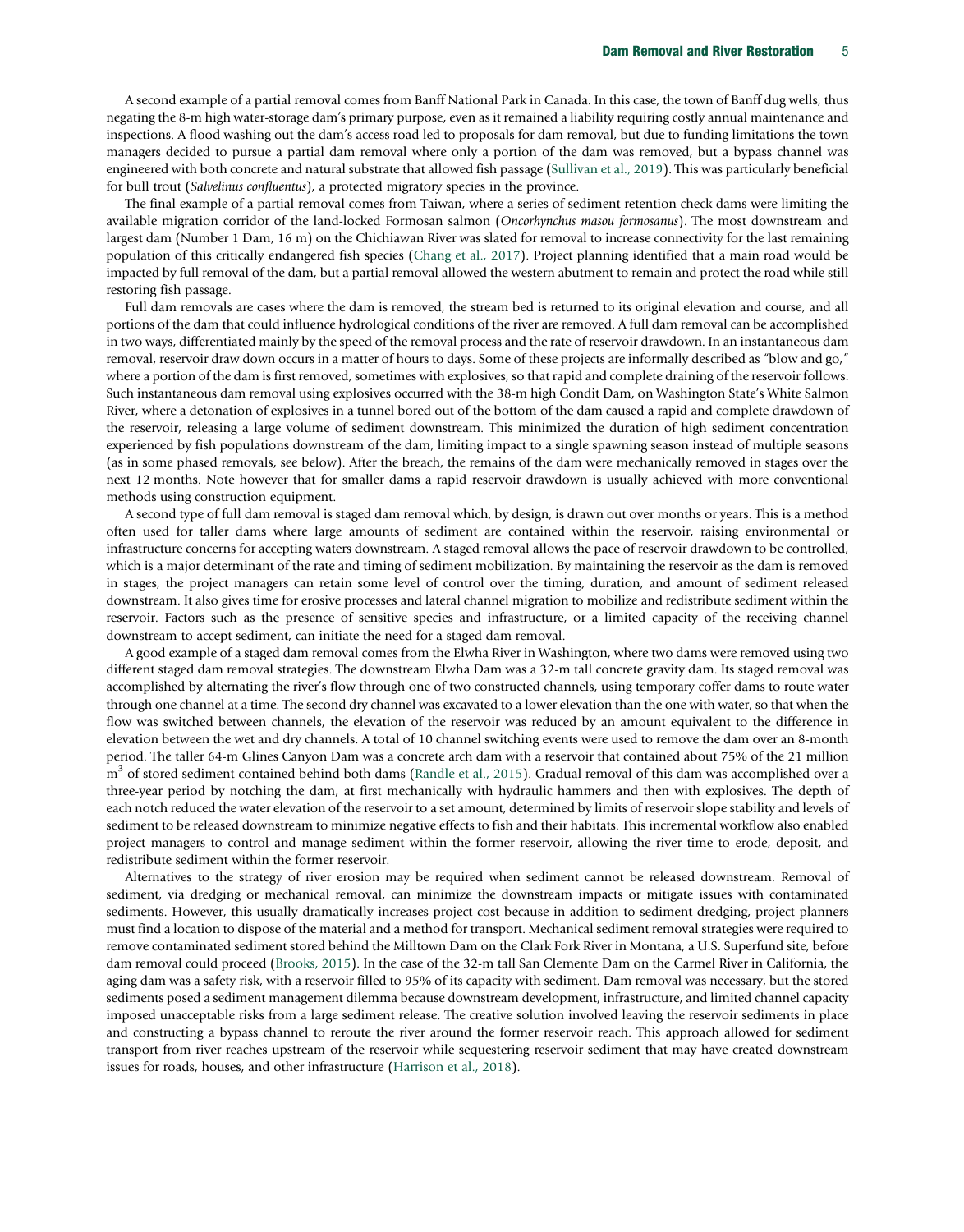A second example of a partial removal comes from Banff National Park in Canada. In this case, the town of Banff dug wells, thus negating the 8-m high water-storage dam's primary purpose, even as it remained a liability requiring costly annual maintenance and inspections. A flood washing out the dam's access road led to proposals for dam removal, but due to funding limitations the town managers decided to pursue a partial dam removal where only a portion of the dam was removed, but a bypass channel was engineered with both concrete and natural substrate that allowed fish passage [\(Sullivan et al., 2019](#page-9-0)). This was particularly beneficial for bull trout (Salvelinus confluentus), a protected migratory species in the province.

The final example of a partial removal comes from Taiwan, where a series of sediment retention check dams were limiting the available migration corridor of the land-locked Formosan salmon (Oncorhynchus masou formosanus). The most downstream and largest dam (Number 1 Dam, 16 m) on the Chichiawan River was slated for removal to increase connectivity for the last remaining population of this critically endangered fish species ([Chang et al., 2017\)](#page-8-0). Project planning identified that a main road would be impacted by full removal of the dam, but a partial removal allowed the western abutment to remain and protect the road while still restoring fish passage.

Full dam removals are cases where the dam is removed, the stream bed is returned to its original elevation and course, and all portions of the dam that could influence hydrological conditions of the river are removed. A full dam removal can be accomplished in two ways, differentiated mainly by the speed of the removal process and the rate of reservoir drawdown. In an instantaneous dam removal, reservoir draw down occurs in a matter of hours to days. Some of these projects are informally described as "blow and go," where a portion of the dam is first removed, sometimes with explosives, so that rapid and complete draining of the reservoir follows. Such instantaneous dam removal using explosives occurred with the 38-m high Condit Dam, on Washington State's White Salmon River, where a detonation of explosives in a tunnel bored out of the bottom of the dam caused a rapid and complete drawdown of the reservoir, releasing a large volume of sediment downstream. This minimized the duration of high sediment concentration experienced by fish populations downstream of the dam, limiting impact to a single spawning season instead of multiple seasons (as in some phased removals, see below). After the breach, the remains of the dam were mechanically removed in stages over the next 12 months. Note however that for smaller dams a rapid reservoir drawdown is usually achieved with more conventional methods using construction equipment.

A second type of full dam removal is staged dam removal which, by design, is drawn out over months or years. This is a method often used for taller dams where large amounts of sediment are contained within the reservoir, raising environmental or infrastructure concerns for accepting waters downstream. A staged removal allows the pace of reservoir drawdown to be controlled, which is a major determinant of the rate and timing of sediment mobilization. By maintaining the reservoir as the dam is removed in stages, the project managers can retain some level of control over the timing, duration, and amount of sediment released downstream. It also gives time for erosive processes and lateral channel migration to mobilize and redistribute sediment within the reservoir. Factors such as the presence of sensitive species and infrastructure, or a limited capacity of the receiving channel downstream to accept sediment, can initiate the need for a staged dam removal.

A good example of a staged dam removal comes from the Elwha River in Washington, where two dams were removed using two different staged dam removal strategies. The downstream Elwha Dam was a 32-m tall concrete gravity dam. Its staged removal was accomplished by alternating the river's flow through one of two constructed channels, using temporary coffer dams to route water through one channel at a time. The second dry channel was excavated to a lower elevation than the one with water, so that when the flow was switched between channels, the elevation of the reservoir was reduced by an amount equivalent to the difference in elevation between the wet and dry channels. A total of 10 channel switching events were used to remove the dam over an 8-month period. The taller 64-m Glines Canyon Dam was a concrete arch dam with a reservoir that contained about 75% of the 21 million  $m<sup>3</sup>$  of stored sediment contained behind both dams ([Randle et al., 2015](#page-8-0)). Gradual removal of this dam was accomplished over a three-year period by notching the dam, at first mechanically with hydraulic hammers and then with explosives. The depth of each notch reduced the water elevation of the reservoir to a set amount, determined by limits of reservoir slope stability and levels of sediment to be released downstream to minimize negative effects to fish and their habitats. This incremental workflow also enabled project managers to control and manage sediment within the former reservoir, allowing the river time to erode, deposit, and redistribute sediment within the former reservoir.

Alternatives to the strategy of river erosion may be required when sediment cannot be released downstream. Removal of sediment, via dredging or mechanical removal, can minimize the downstream impacts or mitigate issues with contaminated sediments. However, this usually dramatically increases project cost because in addition to sediment dredging, project planners must find a location to dispose of the material and a method for transport. Mechanical sediment removal strategies were required to remove contaminated sediment stored behind the Milltown Dam on the Clark Fork River in Montana, a U.S. Superfund site, before dam removal could proceed ([Brooks, 2015](#page-8-0)). In the case of the 32-m tall San Clemente Dam on the Carmel River in California, the aging dam was a safety risk, with a reservoir filled to 95% of its capacity with sediment. Dam removal was necessary, but the stored sediments posed a sediment management dilemma because downstream development, infrastructure, and limited channel capacity imposed unacceptable risks from a large sediment release. The creative solution involved leaving the reservoir sediments in place and constructing a bypass channel to reroute the river around the former reservoir reach. This approach allowed for sediment transport from river reaches upstream of the reservoir while sequestering reservoir sediment that may have created downstream issues for roads, houses, and other infrastructure ([Harrison et al., 2018\)](#page-8-0).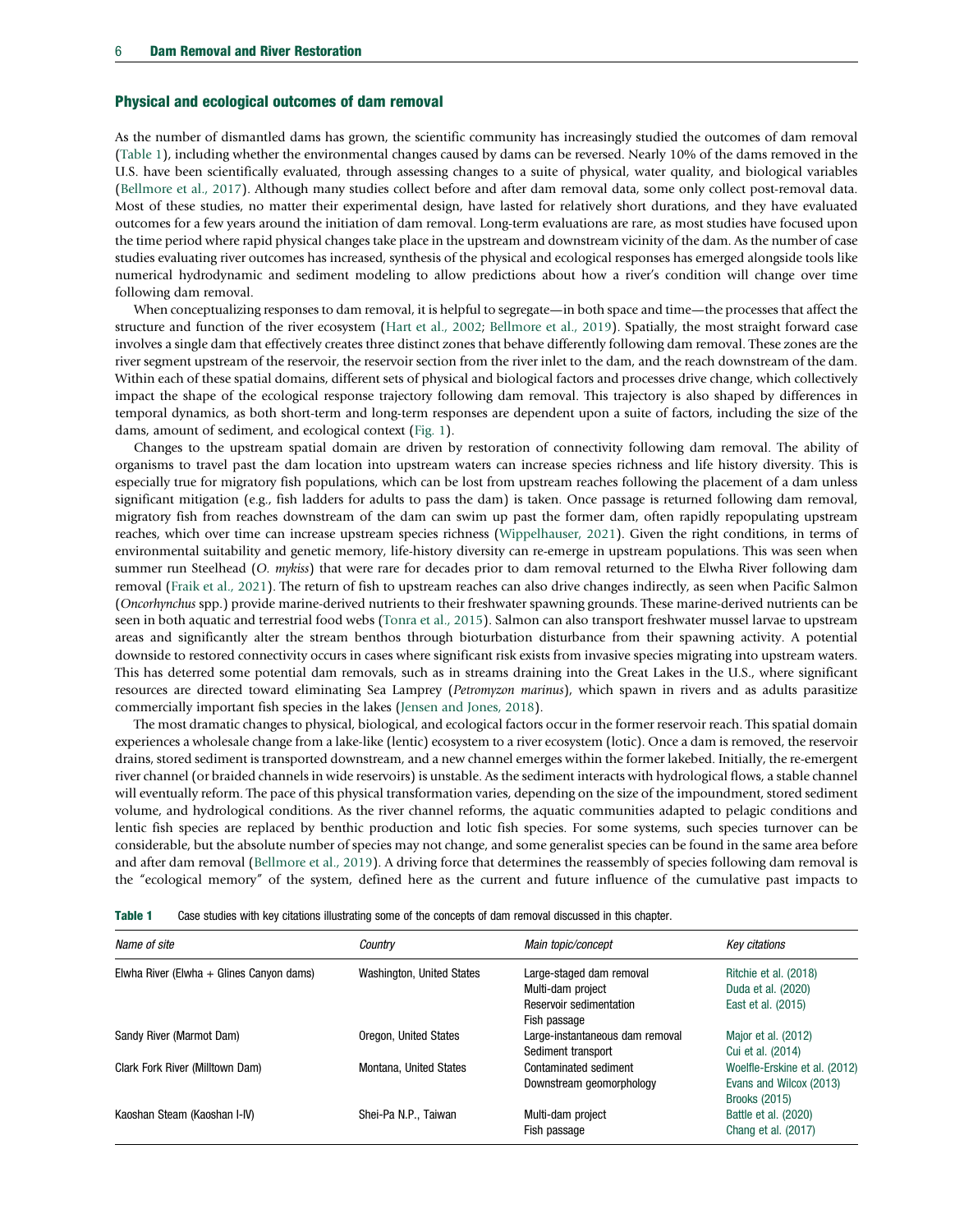#### Physical and ecological outcomes of dam removal

As the number of dismantled dams has grown, the scientific community has increasingly studied the outcomes of dam removal (Table 1), including whether the environmental changes caused by dams can be reversed. Nearly 10% of the dams removed in the U.S. have been scientifically evaluated, through assessing changes to a suite of physical, water quality, and biological variables ([Bellmore et al., 2017\)](#page-8-0). Although many studies collect before and after dam removal data, some only collect post-removal data. Most of these studies, no matter their experimental design, have lasted for relatively short durations, and they have evaluated outcomes for a few years around the initiation of dam removal. Long-term evaluations are rare, as most studies have focused upon the time period where rapid physical changes take place in the upstream and downstream vicinity of the dam. As the number of case studies evaluating river outcomes has increased, synthesis of the physical and ecological responses has emerged alongside tools like numerical hydrodynamic and sediment modeling to allow predictions about how a river's condition will change over time following dam removal.

When conceptualizing responses to dam removal, it is helpful to segregate—in both space and time—the processes that affect the structure and function of the river ecosystem [\(Hart et al., 2002](#page-8-0); [Bellmore et al., 2019\)](#page-8-0). Spatially, the most straight forward case involves a single dam that effectively creates three distinct zones that behave differently following dam removal. These zones are the river segment upstream of the reservoir, the reservoir section from the river inlet to the dam, and the reach downstream of the dam. Within each of these spatial domains, different sets of physical and biological factors and processes drive change, which collectively impact the shape of the ecological response trajectory following dam removal. This trajectory is also shaped by differences in temporal dynamics, as both short-term and long-term responses are dependent upon a suite of factors, including the size of the dams, amount of sediment, and ecological context [\(Fig. 1](#page-6-0)).

Changes to the upstream spatial domain are driven by restoration of connectivity following dam removal. The ability of organisms to travel past the dam location into upstream waters can increase species richness and life history diversity. This is especially true for migratory fish populations, which can be lost from upstream reaches following the placement of a dam unless significant mitigation (e.g., fish ladders for adults to pass the dam) is taken. Once passage is returned following dam removal, migratory fish from reaches downstream of the dam can swim up past the former dam, often rapidly repopulating upstream reaches, which over time can increase upstream species richness [\(Wippelhauser, 2021](#page-9-0)). Given the right conditions, in terms of environmental suitability and genetic memory, life-history diversity can re-emerge in upstream populations. This was seen when summer run Steelhead (O. mykiss) that were rare for decades prior to dam removal returned to the Elwha River following dam removal ([Fraik et al., 2021\)](#page-8-0). The return of fish to upstream reaches can also drive changes indirectly, as seen when Pacific Salmon (Oncorhynchus spp.) provide marine-derived nutrients to their freshwater spawning grounds. These marine-derived nutrients can be seen in both aquatic and terrestrial food webs [\(Tonra et al., 2015\)](#page-9-0). Salmon can also transport freshwater mussel larvae to upstream areas and significantly alter the stream benthos through bioturbation disturbance from their spawning activity. A potential downside to restored connectivity occurs in cases where significant risk exists from invasive species migrating into upstream waters. This has deterred some potential dam removals, such as in streams draining into the Great Lakes in the U.S., where significant resources are directed toward eliminating Sea Lamprey (Petromyzon marinus), which spawn in rivers and as adults parasitize commercially important fish species in the lakes ([Jensen and Jones, 2018\)](#page-8-0).

The most dramatic changes to physical, biological, and ecological factors occur in the former reservoir reach. This spatial domain experiences a wholesale change from a lake-like (lentic) ecosystem to a river ecosystem (lotic). Once a dam is removed, the reservoir drains, stored sediment is transported downstream, and a new channel emerges within the former lakebed. Initially, the re-emergent river channel (or braided channels in wide reservoirs) is unstable. As the sediment interacts with hydrological flows, a stable channel will eventually reform. The pace of this physical transformation varies, depending on the size of the impoundment, stored sediment volume, and hydrological conditions. As the river channel reforms, the aquatic communities adapted to pelagic conditions and lentic fish species are replaced by benthic production and lotic fish species. For some systems, such species turnover can be considerable, but the absolute number of species may not change, and some generalist species can be found in the same area before and after dam removal [\(Bellmore et al., 2019\)](#page-8-0). A driving force that determines the reassembly of species following dam removal is the "ecological memory" of the system, defined here as the current and future influence of the cumulative past impacts to

| Name of site                               | Country                   | Main topic/concept              | Key citations                 |
|--------------------------------------------|---------------------------|---------------------------------|-------------------------------|
| Elwha River (Elwha $+$ Glines Canyon dams) | Washington, United States | Large-staged dam removal        | Ritchie et al. (2018)         |
|                                            |                           | Multi-dam project               | Duda et al. (2020)            |
|                                            |                           | Reservoir sedimentation         | East et al. (2015)            |
|                                            |                           | Fish passage                    |                               |
| Sandy River (Marmot Dam)                   | Oregon, United States     | Large-instantaneous dam removal | Major et al. (2012)           |
|                                            |                           | Sediment transport              | Cui et al. (2014)             |
| Clark Fork River (Milltown Dam)            | Montana, United States    | Contaminated sediment           | Woelfle-Erskine et al. (2012) |
|                                            |                           | Downstream geomorphology        | Evans and Wilcox (2013)       |
|                                            |                           |                                 | <b>Brooks (2015)</b>          |
| Kaoshan Steam (Kaoshan I-IV)               | Shei-Pa N.P., Taiwan      | Multi-dam project               | Battle et al. (2020)          |
|                                            |                           | Fish passage                    | Chang et al. (2017)           |

Table 1 Case studies with key citations illustrating some of the concepts of dam removal discussed in this chapter.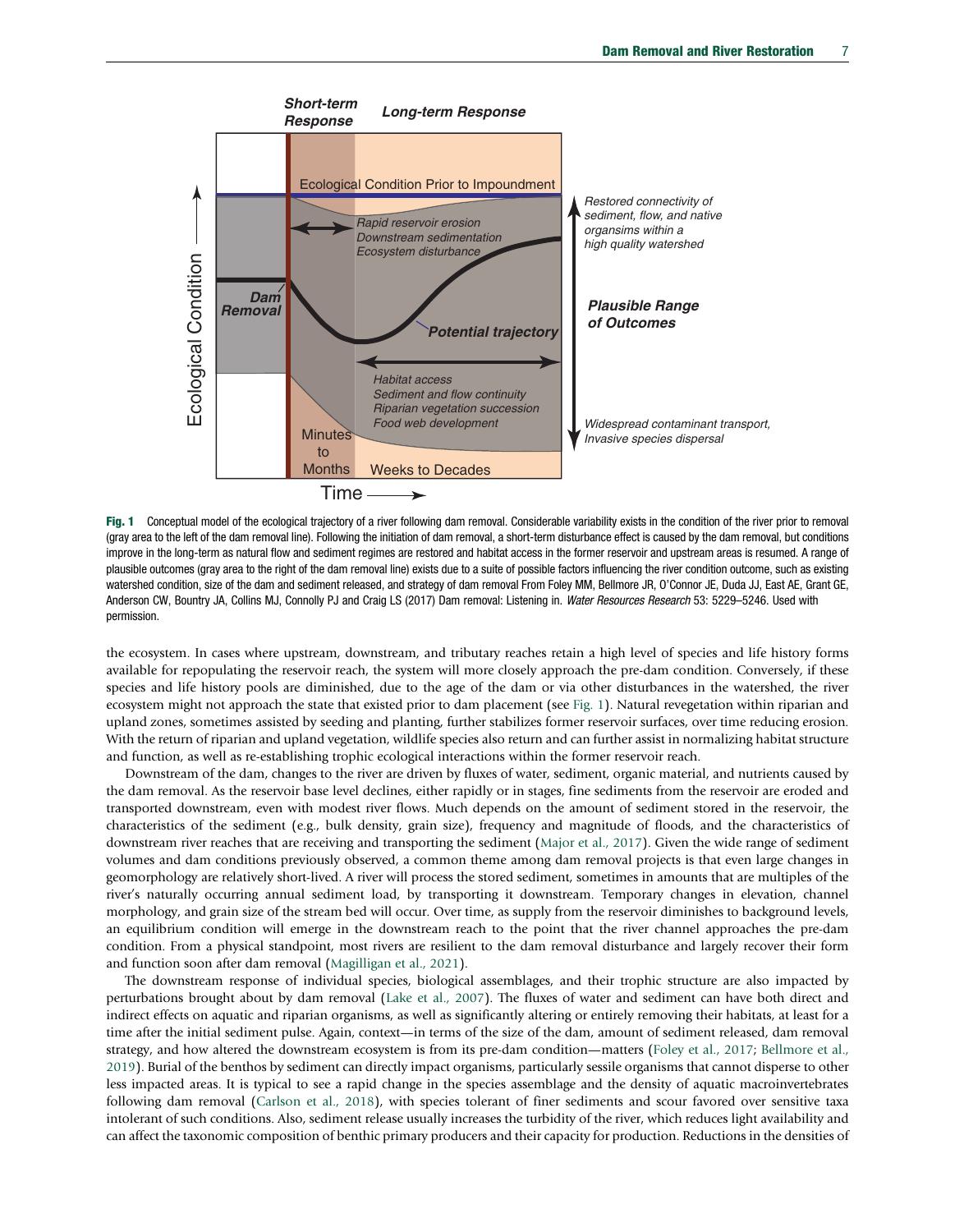<span id="page-6-0"></span>

Fig. 1 Conceptual model of the ecological trajectory of a river following dam removal. Considerable variability exists in the condition of the river prior to removal (gray area to the left of the dam removal line). Following the initiation of dam removal, a short-term disturbance effect is caused by the dam removal, but conditions improve in the long-term as natural flow and sediment regimes are restored and habitat access in the former reservoir and upstream areas is resumed. A range of plausible outcomes (gray area to the right of the dam removal line) exists due to a suite of possible factors influencing the river condition outcome, such as existing watershed condition, size of the dam and sediment released, and strategy of dam removal From Foley MM, Bellmore JR, O'Connor JE, Duda JJ, East AE, Grant GE, Anderson CW, Bountry JA, Collins MJ, Connolly PJ and Craig LS (2017) Dam removal: Listening in. Water Resources Research 53: 5229-5246. Used with permission.

the ecosystem. In cases where upstream, downstream, and tributary reaches retain a high level of species and life history forms available for repopulating the reservoir reach, the system will more closely approach the pre-dam condition. Conversely, if these species and life history pools are diminished, due to the age of the dam or via other disturbances in the watershed, the river ecosystem might not approach the state that existed prior to dam placement (see Fig. 1). Natural revegetation within riparian and upland zones, sometimes assisted by seeding and planting, further stabilizes former reservoir surfaces, over time reducing erosion. With the return of riparian and upland vegetation, wildlife species also return and can further assist in normalizing habitat structure and function, as well as re-establishing trophic ecological interactions within the former reservoir reach.

Downstream of the dam, changes to the river are driven by fluxes of water, sediment, organic material, and nutrients caused by the dam removal. As the reservoir base level declines, either rapidly or in stages, fine sediments from the reservoir are eroded and transported downstream, even with modest river flows. Much depends on the amount of sediment stored in the reservoir, the characteristics of the sediment (e.g., bulk density, grain size), frequency and magnitude of floods, and the characteristics of downstream river reaches that are receiving and transporting the sediment [\(Major et al., 2017\)](#page-8-0). Given the wide range of sediment volumes and dam conditions previously observed, a common theme among dam removal projects is that even large changes in geomorphology are relatively short-lived. A river will process the stored sediment, sometimes in amounts that are multiples of the river's naturally occurring annual sediment load, by transporting it downstream. Temporary changes in elevation, channel morphology, and grain size of the stream bed will occur. Over time, as supply from the reservoir diminishes to background levels, an equilibrium condition will emerge in the downstream reach to the point that the river channel approaches the pre-dam condition. From a physical standpoint, most rivers are resilient to the dam removal disturbance and largely recover their form and function soon after dam removal [\(Magilligan et al., 2021\)](#page-8-0).

The downstream response of individual species, biological assemblages, and their trophic structure are also impacted by perturbations brought about by dam removal [\(Lake et al., 2007\)](#page-8-0). The fluxes of water and sediment can have both direct and indirect effects on aquatic and riparian organisms, as well as significantly altering or entirely removing their habitats, at least for a time after the initial sediment pulse. Again, context—in terms of the size of the dam, amount of sediment released, dam removal strategy, and how altered the downstream ecosystem is from its pre-dam condition—matters ([Foley et al., 2017;](#page-8-0) [Bellmore et al.,](#page-8-0) [2019](#page-8-0)). Burial of the benthos by sediment can directly impact organisms, particularly sessile organisms that cannot disperse to other less impacted areas. It is typical to see a rapid change in the species assemblage and the density of aquatic macroinvertebrates following dam removal ([Carlson et al., 2018\)](#page-8-0), with species tolerant of finer sediments and scour favored over sensitive taxa intolerant of such conditions. Also, sediment release usually increases the turbidity of the river, which reduces light availability and can affect the taxonomic composition of benthic primary producers and their capacity for production. Reductions in the densities of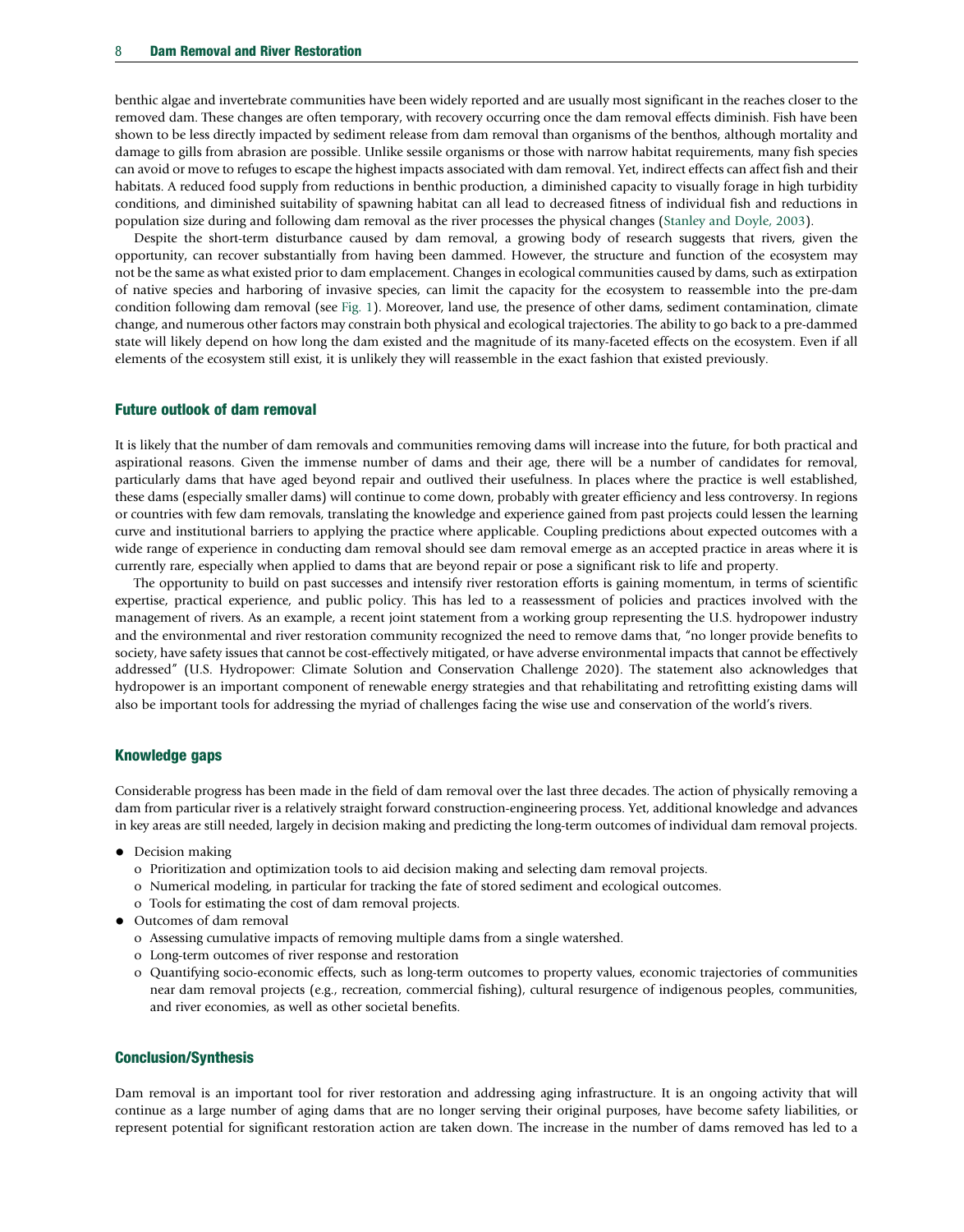benthic algae and invertebrate communities have been widely reported and are usually most significant in the reaches closer to the removed dam. These changes are often temporary, with recovery occurring once the dam removal effects diminish. Fish have been shown to be less directly impacted by sediment release from dam removal than organisms of the benthos, although mortality and damage to gills from abrasion are possible. Unlike sessile organisms or those with narrow habitat requirements, many fish species can avoid or move to refuges to escape the highest impacts associated with dam removal. Yet, indirect effects can affect fish and their habitats. A reduced food supply from reductions in benthic production, a diminished capacity to visually forage in high turbidity conditions, and diminished suitability of spawning habitat can all lead to decreased fitness of individual fish and reductions in population size during and following dam removal as the river processes the physical changes ([Stanley and Doyle, 2003\)](#page-9-0).

Despite the short-term disturbance caused by dam removal, a growing body of research suggests that rivers, given the opportunity, can recover substantially from having been dammed. However, the structure and function of the ecosystem may not be the same as what existed prior to dam emplacement. Changes in ecological communities caused by dams, such as extirpation of native species and harboring of invasive species, can limit the capacity for the ecosystem to reassemble into the pre-dam condition following dam removal (see [Fig. 1\)](#page-6-0). Moreover, land use, the presence of other dams, sediment contamination, climate change, and numerous other factors may constrain both physical and ecological trajectories. The ability to go back to a pre-dammed state will likely depend on how long the dam existed and the magnitude of its many-faceted effects on the ecosystem. Even if all elements of the ecosystem still exist, it is unlikely they will reassemble in the exact fashion that existed previously.

#### Future outlook of dam removal

It is likely that the number of dam removals and communities removing dams will increase into the future, for both practical and aspirational reasons. Given the immense number of dams and their age, there will be a number of candidates for removal, particularly dams that have aged beyond repair and outlived their usefulness. In places where the practice is well established, these dams (especially smaller dams) will continue to come down, probably with greater efficiency and less controversy. In regions or countries with few dam removals, translating the knowledge and experience gained from past projects could lessen the learning curve and institutional barriers to applying the practice where applicable. Coupling predictions about expected outcomes with a wide range of experience in conducting dam removal should see dam removal emerge as an accepted practice in areas where it is currently rare, especially when applied to dams that are beyond repair or pose a significant risk to life and property.

The opportunity to build on past successes and intensify river restoration efforts is gaining momentum, in terms of scientific expertise, practical experience, and public policy. This has led to a reassessment of policies and practices involved with the management of rivers. As an example, a recent joint statement from a working group representing the U.S. hydropower industry and the environmental and river restoration community recognized the need to remove dams that, "no longer provide benefits to society, have safety issues that cannot be cost-effectively mitigated, or have adverse environmental impacts that cannot be effectively addressed" (U.S. Hydropower: Climate Solution and Conservation Challenge 2020). The statement also acknowledges that hydropower is an important component of renewable energy strategies and that rehabilitating and retrofitting existing dams will also be important tools for addressing the myriad of challenges facing the wise use and conservation of the world's rivers.

#### Knowledge gaps

Considerable progress has been made in the field of dam removal over the last three decades. The action of physically removing a dam from particular river is a relatively straight forward construction-engineering process. Yet, additional knowledge and advances in key areas are still needed, largely in decision making and predicting the long-term outcomes of individual dam removal projects.

- Decision making
	- o Prioritization and optimization tools to aid decision making and selecting dam removal projects.
	- o Numerical modeling, in particular for tracking the fate of stored sediment and ecological outcomes.
	- o Tools for estimating the cost of dam removal projects.
- Outcomes of dam removal
	- o Assessing cumulative impacts of removing multiple dams from a single watershed.
	- o Long-term outcomes of river response and restoration
	- o Quantifying socio-economic effects, such as long-term outcomes to property values, economic trajectories of communities near dam removal projects (e.g., recreation, commercial fishing), cultural resurgence of indigenous peoples, communities, and river economies, as well as other societal benefits.

#### Conclusion/Synthesis

Dam removal is an important tool for river restoration and addressing aging infrastructure. It is an ongoing activity that will continue as a large number of aging dams that are no longer serving their original purposes, have become safety liabilities, or represent potential for significant restoration action are taken down. The increase in the number of dams removed has led to a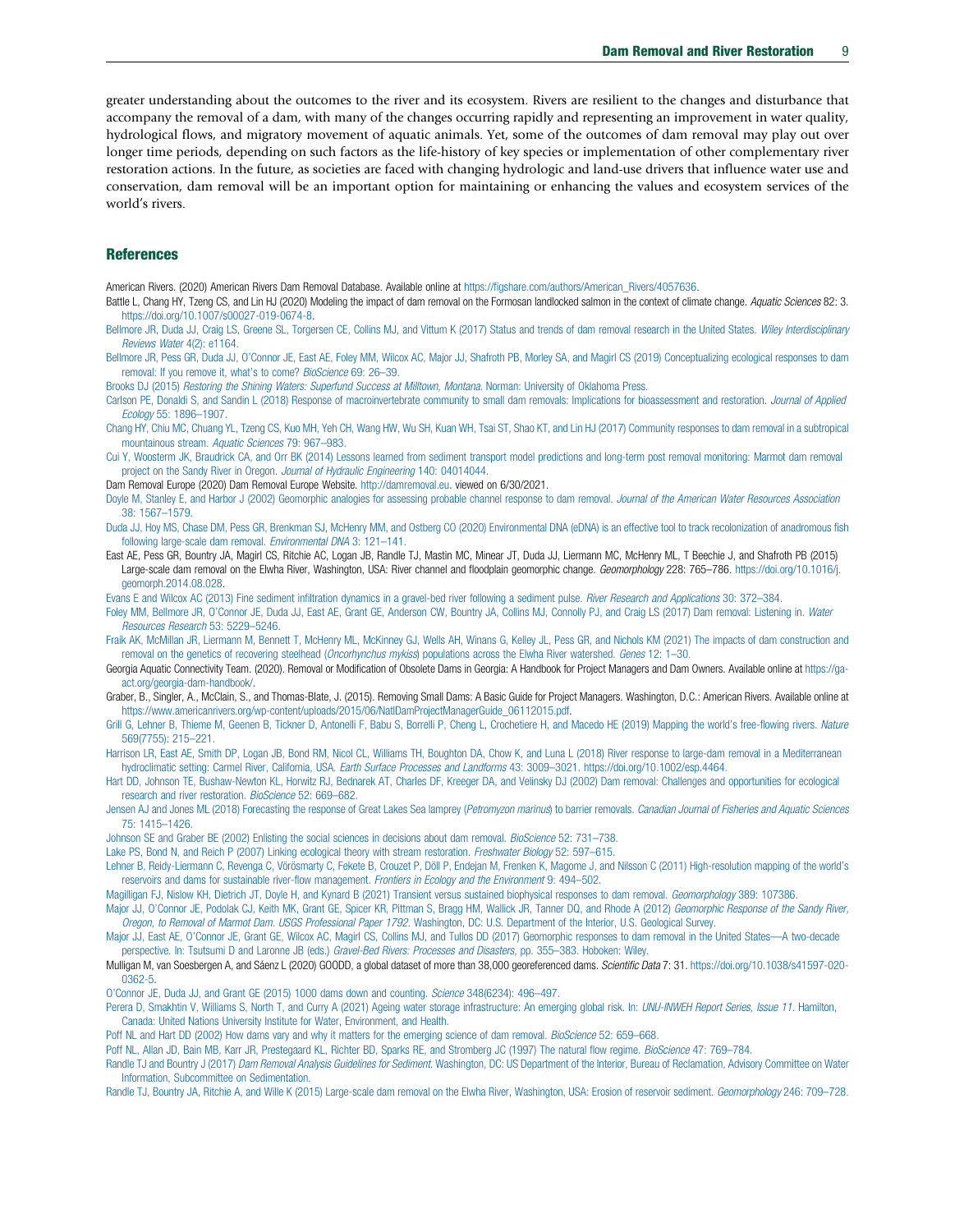<span id="page-8-0"></span>greater understanding about the outcomes to the river and its ecosystem. Rivers are resilient to the changes and disturbance that accompany the removal of a dam, with many of the changes occurring rapidly and representing an improvement in water quality, hydrological flows, and migratory movement of aquatic animals. Yet, some of the outcomes of dam removal may play out over longer time periods, depending on such factors as the life-history of key species or implementation of other complementary river restoration actions. In the future, as societies are faced with changing hydrologic and land-use drivers that influence water use and conservation, dam removal will be an important option for maintaining or enhancing the values and ecosystem services of the world's rivers.

#### **References**

American Rivers. (2020) American Rivers Dam Removal Database. Available online at https://figshare.com/authors/American Rivers/4057636.

Battle L, Chang HY, Tzeng CS, and Lin HJ (2020) Modeling the impact of dam removal on the Formosan landlocked salmon in the context of climate change. Aquatic Sciences 82: 3. <https://doi.org/10.1007/s00027-019-0674-8>.

[Bellmore JR, Duda JJ, Craig LS, Greene SL, Torgersen CE, Collins MJ, and Vittum K \(2017\) Status and trends of dam removal research in the United States.](http://refhub.elsevier.com/B978-0-12-819166-8.00101-8/rf0015) Wiley Interdisciplinary [Reviews Water](http://refhub.elsevier.com/B978-0-12-819166-8.00101-8/rf0015) 4(2): e1164.

Bellmore JR, Pess GR, Duda JJ, O'[Connor JE, East AE, Foley MM, Wilcox AC, Major JJ, Shafroth PB, Morley SA, and Magirl CS \(2019\) Conceptualizing ecological responses to dam](http://refhub.elsevier.com/B978-0-12-819166-8.00101-8/rf0020) [removal: If you remove it, what](http://refhub.elsevier.com/B978-0-12-819166-8.00101-8/rf0020)'s to come? BioScience 69: 26-39.

Brooks DJ (2015) [Restoring the Shining Waters: Superfund Success at Milltown, Montana](http://refhub.elsevier.com/B978-0-12-819166-8.00101-8/rf0025). Norman: University of Oklahoma Press.

[Carlson PE, Donaldi S, and Sandin L \(2018\) Response of macroinvertebrate community to small dam removals: Implications for bioassessment and restoration.](http://refhub.elsevier.com/B978-0-12-819166-8.00101-8/rf0030) Journal of Applied Ecology [55: 1896](http://refhub.elsevier.com/B978-0-12-819166-8.00101-8/rf0030)–1907.

[Chang HY, Chiu MC, Chuang YL, Tzeng CS, Kuo MH, Yeh CH, Wang HW, Wu SH, Kuan WH, Tsai ST, Shao KT, and Lin HJ \(2017\) Community responses to dam removal in a subtropical](http://refhub.elsevier.com/B978-0-12-819166-8.00101-8/rf0035) [mountainous stream.](http://refhub.elsevier.com/B978-0-12-819166-8.00101-8/rf0035) Aquatic Sciences 79: 967–983.

[Cui Y, Woosterm JK, Braudrick CA, and Orr BK \(2014\) Lessons learned from sediment transport model predictions and long-term post removal monitoring:](http://refhub.elsevier.com/B978-0-12-819166-8.00101-8/rf0045) Marmot dam removal [project on the Sandy River in Oregon.](http://refhub.elsevier.com/B978-0-12-819166-8.00101-8/rf0045) Journal of Hydraulic Engineering 140: 04014044.

Dam Removal Europe (2020) Dam Removal Europe Website. <http://damremoval.eu>. viewed on 6/30/2021.

[Doyle M, Stanley E, and Harbor J \(2002\) Geomorphic analogies for assessing probable channel response to dam removal.](http://refhub.elsevier.com/B978-0-12-819166-8.00101-8/rf0055) Journal of the American Water Resources Association [38: 1567](http://refhub.elsevier.com/B978-0-12-819166-8.00101-8/rf0055)–1579.

[Duda JJ, Hoy MS, Chase DM, Pess GR, Brenkman SJ, McHenry MM, and Ostberg CO \(2020\) Environmental DNA \(eDNA\) is an effective tool to track recolonization](http://refhub.elsevier.com/B978-0-12-819166-8.00101-8/rf0060) of anadromous fish [following large-scale dam removal.](http://refhub.elsevier.com/B978-0-12-819166-8.00101-8/rf0060) Environmental DNA 3: 121–141.

East AE, Pess GR, Bountry JA, Magirl CS, Ritchie AC, Logan JB, Randle TJ, Mastin MC, Minear JT, Duda JJ, Liermann MC, McHenry ML, T Beechie J, and Shafroth PB (2015) Large-scale dam removal on the Elwha River, Washington, USA: River channel and floodplain geomorphic change. Geomorphology 228: 765-786. [https://doi.org/10.1016/j.](https://doi.org/10.1016/j.geomorph.2014.08.028) [geomorph.2014.08.028](https://doi.org/10.1016/j.geomorph.2014.08.028).

[Evans E and Wilcox AC \(2013\) Fine sediment infiltration dynamics in a gravel-bed river following a sediment pulse.](http://refhub.elsevier.com/B978-0-12-819166-8.00101-8/rf0065) River Research and Applications 30: 372-384.

Foley MM, Bellmore JR, O'[Connor JE, Duda JJ, East AE, Grant GE, Anderson CW, Bountry JA, Collins MJ, Connolly PJ, and Craig LS \(2017\) Dam removal: Listening in.](http://refhub.elsevier.com/B978-0-12-819166-8.00101-8/rf0070) Water [Resources Research](http://refhub.elsevier.com/B978-0-12-819166-8.00101-8/rf0070) 53: 5229–5246.

[Fraik AK, McMillan JR, Liermann M, Bennett T, McHenry ML, McKinney GJ, Wells AH, Winans G, Kelley JL, Pess GR, and Nichols KM \(2021\) The impacts of dam construction and](http://refhub.elsevier.com/B978-0-12-819166-8.00101-8/rf0075) [removal on the genetics of recovering steelhead \(](http://refhub.elsevier.com/B978-0-12-819166-8.00101-8/rf0075)Oncorhynchus mykiss) populations across the Elwha River watershed. Genes 12: 1–30.

Georgia Aquatic Connectivity Team. (2020). Removal or Modification of Obsolete Dams in Georgia: A Handbook for Project Managers and Dam Owners. Available online at [https://ga](https://ga-act.org/georgia-dam-handbook/)[act.org/georgia-dam-handbook/.](https://ga-act.org/georgia-dam-handbook/)

Graber, B., Singler, A., McClain, S., and Thomas-Blate, J. (2015). Removing Small Dams: A Basic Guide for Project Managers. Washington, D.C.: American Rivers. Available online at [https://www.americanrivers.org/wp-content/uploads/2015/06/NatlDamProjectManagerGuide\\_06112015.pdf.](https://www.americanrivers.org/wp-content/uploads/2015/06/NatlDamProjectManagerGuide_06112015.pdf)

[Grill G, Lehner B, Thieme M, Geenen B, Tickner D, Antonelli F, Babu S, Borrelli P, Cheng L, Crochetiere H, and Macedo HE \(2019\) Mapping the world](http://refhub.elsevier.com/B978-0-12-819166-8.00101-8/rf0080)'s free-flowing rivers. Nature [569\(7755\): 215](http://refhub.elsevier.com/B978-0-12-819166-8.00101-8/rf0080)–221.

[Harrison LR, East AE, Smith DP, Logan JB, Bond RM, Nicol CL, Williams TH, Boughton DA, Chow K, and Luna L \(2018\) River response to large-dam removal in a Mediterranean](http://refhub.elsevier.com/B978-0-12-819166-8.00101-8/rf9005) [hydroclimatic setting: Carmel River, California, USA.](http://refhub.elsevier.com/B978-0-12-819166-8.00101-8/rf9005) Earth Surface Processes and Landforms 43: 3009–3021. https://doi.org/10.1002/esp.4464.

[Hart DD, Johnson TE, Bushaw-Newton KL, Horwitz RJ, Bednarek AT, Charles DF, Kreeger DA, and Velinsky DJ \(2002\) Dam removal: Challenges and opportunities for ecological](http://refhub.elsevier.com/B978-0-12-819166-8.00101-8/rf0085) [research and river restoration.](http://refhub.elsevier.com/B978-0-12-819166-8.00101-8/rf0085) BioScience 52: 669–682.

[Jensen AJ and Jones ML \(2018\) Forecasting the response of Great Lakes Sea lamprey \(](http://refhub.elsevier.com/B978-0-12-819166-8.00101-8/rf0090)Petromyzon marinus) to barrier removals. Canadian Journal of Fisheries and Aquatic Sciences [75: 1415](http://refhub.elsevier.com/B978-0-12-819166-8.00101-8/rf0090)–1426.

[Johnson SE and Graber BE \(2002\) Enlisting the social sciences in decisions about dam removal.](http://refhub.elsevier.com/B978-0-12-819166-8.00101-8/rf0095) BioScience 52: 731-738.

[Lake PS, Bond N, and Reich P \(2007\) Linking ecological theory with stream restoration.](http://refhub.elsevier.com/B978-0-12-819166-8.00101-8/rf0100) Freshwater Biology 52: 597-615.

[Lehner B, Reidy-Liermann C, Revenga C, Vörösmarty C, Fekete B, Crouzet P, Döll P, Endejan M, Frenken K, Magome J, and Nilsson C \(2011\) High-resolution mapping of the world](http://refhub.elsevier.com/B978-0-12-819166-8.00101-8/rf0105)'s [reservoirs and dams for sustainable river-flow management.](http://refhub.elsevier.com/B978-0-12-819166-8.00101-8/rf0105) Frontiers in Ecology and the Environment 9: 494–502.

[Magilligan FJ, Nislow KH, Dietrich JT, Doyle H, and Kynard B \(2021\) Transient versus sustained biophysical responses to dam removal.](http://refhub.elsevier.com/B978-0-12-819166-8.00101-8/rf0110) Geomorphology 389: 107386

Major JJ, O'[Connor JE, Podolak CJ, Keith MK, Grant GE, Spicer KR, Pittman S, Bragg HM, Wallick JR, Tanner DQ, and Rhode A \(2012\)](http://refhub.elsevier.com/B978-0-12-819166-8.00101-8/rf0115) Geomorphic Response of the Sandy River, Oregon, to Removal of Marmot Dam. USGS Professional Paper 1792[. Washington, DC: U.S. Department of the Interior, U.S. Geological Survey.](http://refhub.elsevier.com/B978-0-12-819166-8.00101-8/rf0115)

Major JJ, East AE, O'[Connor JE, Grant GE, Wilcox AC, Magirl CS, Collins MJ, and Tullos DD \(2017\) Geomorphic responses to dam removal in the United States](http://refhub.elsevier.com/B978-0-12-819166-8.00101-8/rf0120)—A two-decade [perspective. In: Tsutsumi D and Laronne JB \(eds.\)](http://refhub.elsevier.com/B978-0-12-819166-8.00101-8/rf0120) Gravel-Bed Rivers: Processes and Disasters, pp. 355–383. Hoboken: Wiley.

Mulligan M, van Soesbergen A, and Sáenz L (2020) GOODD, a global dataset of more than 38,000 georeferenced dams. Scientific Data 7: 31. [https://doi.org/10.1038/s41597-020-](https://doi.org/10.1038/s41597-020-0362-5) [0362-5.](https://doi.org/10.1038/s41597-020-0362-5)

O'[Connor JE, Duda JJ, and Grant GE \(2015\) 1000 dams down and counting.](http://refhub.elsevier.com/B978-0-12-819166-8.00101-8/rf0130) Science 348(6234): 496–497.

[Perera D, Smakhtin V, Williams S, North T, and Curry A \(2021\) Ageing water storage infrastructure: An emerging global risk. In:](http://refhub.elsevier.com/B978-0-12-819166-8.00101-8/rf0135) *UNU-INWEH Report Series, Issue 11*. Hamilton, [Canada: United Nations University Institute for Water, Environment, and Health.](http://refhub.elsevier.com/B978-0-12-819166-8.00101-8/rf0135)

[Poff NL and Hart DD \(2002\) How dams vary and why it matters for the emerging science of dam removal.](http://refhub.elsevier.com/B978-0-12-819166-8.00101-8/rf0140) BioScience 52: 659-668.

[Poff NL, Allan JD, Bain MB, Karr JR, Prestegaard KL, Richter BD, Sparks RE, and Stromberg JC \(1997\) The natural flow regime.](http://refhub.elsevier.com/B978-0-12-819166-8.00101-8/rf0145) BioScience 47: 769-784.

Randle TJ and Bountry J (2017) Dam Removal Analysis Guidelines for Sediment[. Washington, DC: US Department of the Interior, Bureau of Reclamation, Advisory Committee on Water](http://refhub.elsevier.com/B978-0-12-819166-8.00101-8/rf0150) [Information, Subcommittee on Sedimentation.](http://refhub.elsevier.com/B978-0-12-819166-8.00101-8/rf0150)

[Randle TJ, Bountry JA, Ritchie A, and Wille K \(2015\) Large-scale dam removal on the Elwha River, Washington, USA: Erosion of reservoir sediment.](http://refhub.elsevier.com/B978-0-12-819166-8.00101-8/rf0155) Geomorphology 246: 709-728.